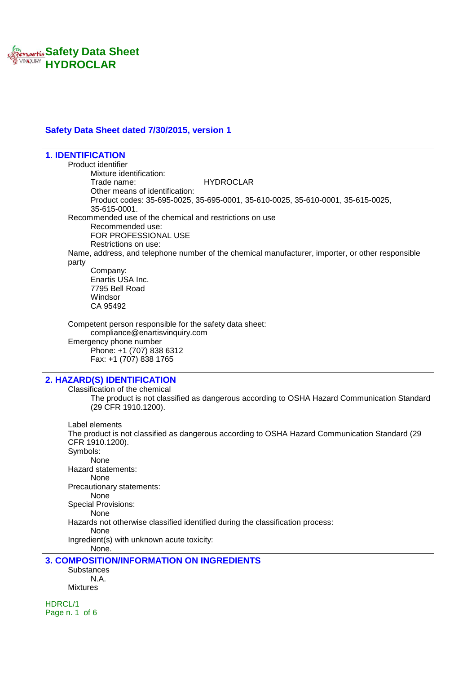

## **Safety Data Sheet dated 7/30/2015, version 1**

**1. IDENTIFICATION** Product identifier Mixture identification: Trade name: HYDROCLAR Other means of identification: Product codes: 35-695-0025, 35-695-0001, 35-610-0025, 35-610-0001, 35-615-0025, 35-615-0001. Recommended use of the chemical and restrictions on use Recommended use: FOR PROFESSIONAL USE Restrictions on use: Name, address, and telephone number of the chemical manufacturer, importer, or other responsible party Company: Enartis USA Inc. 7795 Bell Road Windsor CA 95492 Competent person responsible for the safety data sheet: compliance@enartisvinquiry.com Emergency phone number Phone: +1 (707) 838 6312 Fax: +1 (707) 838 1765 **2. HAZARD(S) IDENTIFICATION** Classification of the chemical The product is not classified as dangerous according to OSHA Hazard Communication Standard (29 CFR 1910.1200). Label elements The product is not classified as dangerous according to OSHA Hazard Communication Standard (29 CFR 1910.1200). Symbols: None Hazard statements: None Precautionary statements: None Special Provisions: None Hazards not otherwise classified identified during the classification process: None Ingredient(s) with unknown acute toxicity: None. **3. COMPOSITION/INFORMATION ON INGREDIENTS Substances** N.A. Mixtures

HDRCL/1 Page n. 1 of 6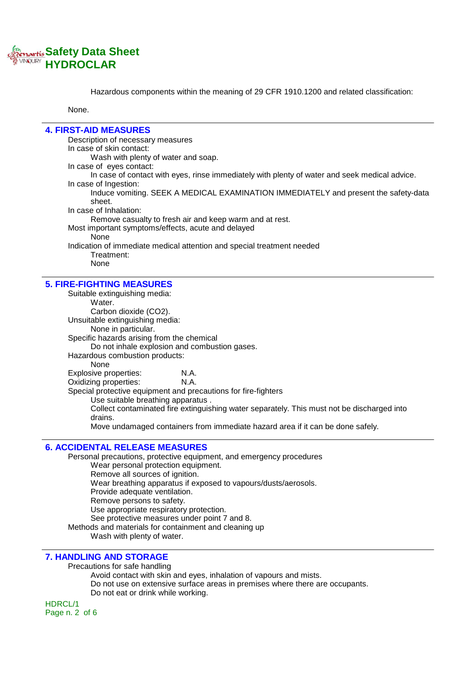

Hazardous components within the meaning of 29 CFR 1910.1200 and related classification:

None.

# **4. FIRST-AID MEASURES**

Description of necessary measures In case of skin contact: Wash with plenty of water and soap. In case of eyes contact: In case of contact with eyes, rinse immediately with plenty of water and seek medical advice. In case of Ingestion: Induce vomiting. SEEK A MEDICAL EXAMINATION IMMEDIATELY and present the safety-data sheet. In case of Inhalation: Remove casualty to fresh air and keep warm and at rest. Most important symptoms/effects, acute and delayed None Indication of immediate medical attention and special treatment needed Treatment: None

## **5. FIRE-FIGHTING MEASURES**

Suitable extinguishing media: Water. Carbon dioxide (CO2). Unsuitable extinguishing media: None in particular. Specific hazards arising from the chemical Do not inhale explosion and combustion gases. Hazardous combustion products: None Explosive properties: **N.A.**<br>Oxidizing properties: **N.A.** Oxidizing properties: Special protective equipment and precautions for fire-fighters Use suitable breathing apparatus . Collect contaminated fire extinguishing water separately. This must not be discharged into drains. Move undamaged containers from immediate hazard area if it can be done safely.

#### **6. ACCIDENTAL RELEASE MEASURES**

Personal precautions, protective equipment, and emergency procedures Wear personal protection equipment. Remove all sources of ignition. Wear breathing apparatus if exposed to vapours/dusts/aerosols. Provide adequate ventilation. Remove persons to safety. Use appropriate respiratory protection. See protective measures under point 7 and 8. Methods and materials for containment and cleaning up Wash with plenty of water.

#### **7. HANDLING AND STORAGE**

Precautions for safe handling

Avoid contact with skin and eyes, inhalation of vapours and mists.

Do not use on extensive surface areas in premises where there are occupants. Do not eat or drink while working.

HDRCL/1 Page n. 2 of 6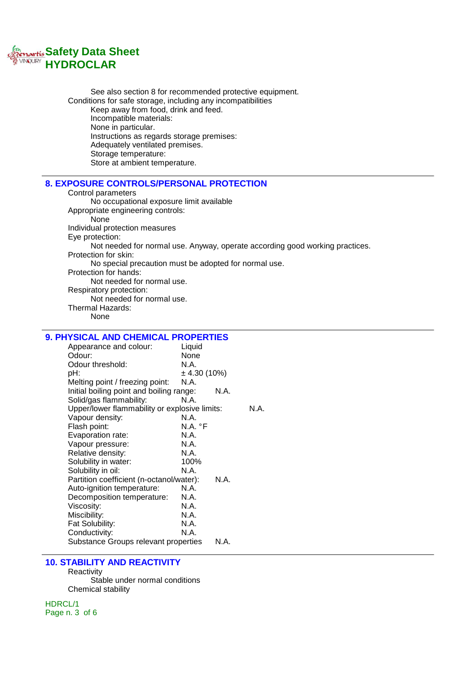

See also section 8 for recommended protective equipment. Conditions for safe storage, including any incompatibilities Keep away from food, drink and feed. Incompatible materials: None in particular. Instructions as regards storage premises: Adequately ventilated premises. Storage temperature: Store at ambient temperature.

# **8. EXPOSURE CONTROLS/PERSONAL PROTECTION**

Control parameters No occupational exposure limit available Appropriate engineering controls: None Individual protection measures Eye protection: Not needed for normal use. Anyway, operate according good working practices. Protection for skin: No special precaution must be adopted for normal use. Protection for hands: Not needed for normal use. Respiratory protection: Not needed for normal use. Thermal Hazards: None

## **9. PHYSICAL AND CHEMICAL PROPERTIES**

| Appearance and colour:                        | Liquid           |      |      |
|-----------------------------------------------|------------------|------|------|
| Odour:                                        | None             |      |      |
| Odour threshold:                              | N.A.             |      |      |
| pH:                                           | $\pm$ 4.30 (10%) |      |      |
| Melting point / freezing point:               | N.A.             |      |      |
| Initial boiling point and boiling range:      |                  | N.A. |      |
| Solid/gas flammability:                       | N.A.             |      |      |
| Upper/lower flammability or explosive limits: |                  |      | N.A. |
| Vapour density:                               | N.A.             |      |      |
| Flash point:                                  | N.A. °F          |      |      |
| Evaporation rate:                             | N.A.             |      |      |
| Vapour pressure:                              | N.A.             |      |      |
| Relative density:                             | N.A.             |      |      |
| Solubility in water:                          | 100%             |      |      |
| Solubility in oil:                            | N.A.             |      |      |
| Partition coefficient (n-octanol/water):      |                  | N.A. |      |
| Auto-ignition temperature:                    | N.A.             |      |      |
| Decomposition temperature:                    | N.A.             |      |      |
| Viscosity:                                    | N.A.             |      |      |
| Miscibility:                                  | N.A.             |      |      |
| Fat Solubility:                               | N.A.             |      |      |
| Conductivity:                                 | N.A.             |      |      |
| Substance Groups relevant properties          |                  | N.A. |      |

#### **10. STABILITY AND REACTIVITY**

**Reactivity** Stable under normal conditions Chemical stability

HDRCL/1 Page n. 3 of 6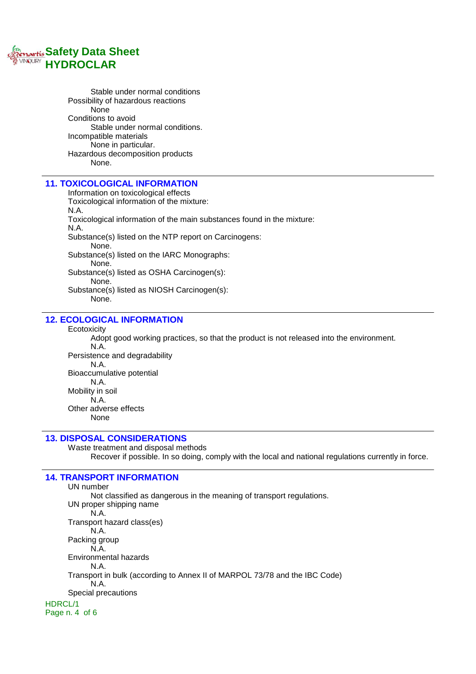

Stable under normal conditions Possibility of hazardous reactions None Conditions to avoid Stable under normal conditions. Incompatible materials None in particular. Hazardous decomposition products None.

# **11. TOXICOLOGICAL INFORMATION**

Information on toxicological effects Toxicological information of the mixture: N.A. Toxicological information of the main substances found in the mixture: N.A. Substance(s) listed on the NTP report on Carcinogens: None. Substance(s) listed on the IARC Monographs: None. Substance(s) listed as OSHA Carcinogen(s): None. Substance(s) listed as NIOSH Carcinogen(s):

None.

# **12. ECOLOGICAL INFORMATION**

**Ecotoxicity** 

Adopt good working practices, so that the product is not released into the environment. N.A. Persistence and degradability N.A. Bioaccumulative potential N.A. Mobility in soil N.A. Other adverse effects None

# **13. DISPOSAL CONSIDERATIONS**

Waste treatment and disposal methods Recover if possible. In so doing, comply with the local and national regulations currently in force.

## **14. TRANSPORT INFORMATION**

UN number Not classified as dangerous in the meaning of transport regulations. UN proper shipping name N.A. Transport hazard class(es) N.A. Packing group N.A. Environmental hazards N.A. Transport in bulk (according to Annex II of MARPOL 73/78 and the IBC Code) N.A. Special precautions HDRCL/1 Page n. 4 of 6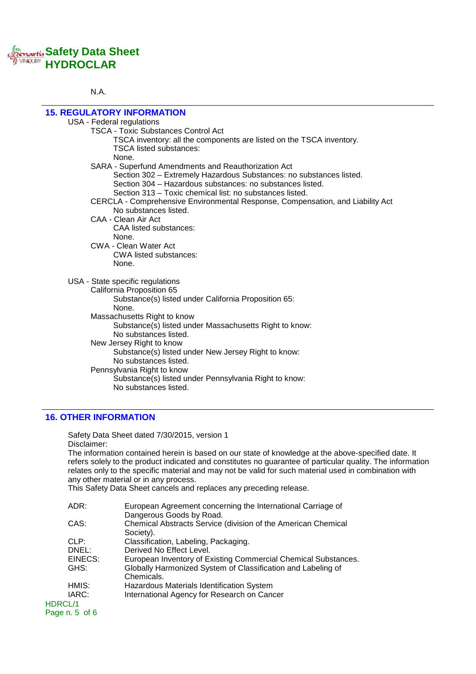# **Safety Data Sheet HYDROCLAR**

### N.A.

| <b>15. REGULATORY INFORMATION</b>                                              |  |
|--------------------------------------------------------------------------------|--|
| USA - Federal regulations                                                      |  |
| <b>TSCA - Toxic Substances Control Act</b>                                     |  |
| TSCA inventory: all the components are listed on the TSCA inventory.           |  |
| <b>TSCA listed substances:</b>                                                 |  |
| None.                                                                          |  |
| SARA - Superfund Amendments and Reauthorization Act                            |  |
| Section 302 - Extremely Hazardous Substances: no substances listed.            |  |
| Section 304 – Hazardous substances: no substances listed.                      |  |
| Section 313 – Toxic chemical list: no substances listed.                       |  |
|                                                                                |  |
| CERCLA - Comprehensive Environmental Response, Compensation, and Liability Act |  |
| No substances listed.<br>CAA - Clean Air Act                                   |  |
|                                                                                |  |
| <b>CAA listed substances:</b>                                                  |  |
| None.<br>CWA - Clean Water Act                                                 |  |
|                                                                                |  |
| CWA listed substances:                                                         |  |
| None.                                                                          |  |
| USA - State specific regulations                                               |  |
| California Proposition 65                                                      |  |
| Substance(s) listed under California Proposition 65:                           |  |
| None.                                                                          |  |
| Massachusetts Right to know                                                    |  |
| Substance(s) listed under Massachusetts Right to know:                         |  |
| No substances listed.                                                          |  |
| New Jersey Right to know                                                       |  |
| Substance(s) listed under New Jersey Right to know:                            |  |
| No substances listed.                                                          |  |
| Pennsylvania Right to know                                                     |  |
| Substance(s) listed under Pennsylvania Right to know:                          |  |
| No substances listed.                                                          |  |
|                                                                                |  |

# **16. OTHER INFORMATION**

Safety Data Sheet dated 7/30/2015, version 1 Disclaimer: The information contained herein is based on our state of knowledge at the above-specified date. It refers solely to the product indicated and constitutes no guarantee of particular quality. The information relates only to the specific material and may not be valid for such material used in combination with any other material or in any process.

This Safety Data Sheet cancels and replaces any preceding release.

| ADR:            | European Agreement concerning the International Carriage of    |
|-----------------|----------------------------------------------------------------|
|                 | Dangerous Goods by Road.                                       |
| CAS:            | Chemical Abstracts Service (division of the American Chemical  |
|                 | Society).                                                      |
| CLP:            | Classification, Labeling, Packaging.                           |
| DNEL:           | Derived No Effect Level.                                       |
| EINECS:         | European Inventory of Existing Commercial Chemical Substances. |
| GHS:            | Globally Harmonized System of Classification and Labeling of   |
|                 | Chemicals.                                                     |
| HMIS:           | Hazardous Materials Identification System                      |
| IARC:           | International Agency for Research on Cancer                    |
| HDRCL/1         |                                                                |
| Page $n.5$ of 6 |                                                                |